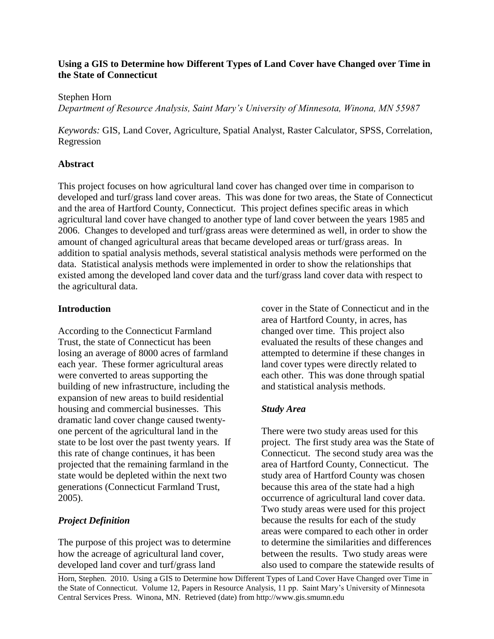# **Using a GIS to Determine how Different Types of Land Cover have Changed over Time in the State of Connecticut**

Stephen Horn

*Department of Resource Analysis, Saint Mary's University of Minnesota, Winona, MN 55987*

*Keywords:* GIS, Land Cover, Agriculture, Spatial Analyst, Raster Calculator, SPSS, Correlation, Regression

# **Abstract**

This project focuses on how agricultural land cover has changed over time in comparison to developed and turf/grass land cover areas. This was done for two areas, the State of Connecticut and the area of Hartford County, Connecticut. This project defines specific areas in which agricultural land cover have changed to another type of land cover between the years 1985 and 2006. Changes to developed and turf/grass areas were determined as well, in order to show the amount of changed agricultural areas that became developed areas or turf/grass areas. In addition to spatial analysis methods, several statistical analysis methods were performed on the data. Statistical analysis methods were implemented in order to show the relationships that existed among the developed land cover data and the turf/grass land cover data with respect to the agricultural data.

# **Introduction**

According to the Connecticut Farmland Trust, the state of Connecticut has been losing an average of 8000 acres of farmland each year. These former agricultural areas were converted to areas supporting the building of new infrastructure, including the expansion of new areas to build residential housing and commercial businesses. This dramatic land cover change caused twentyone percent of the agricultural land in the state to be lost over the past twenty years. If this rate of change continues, it has been projected that the remaining farmland in the state would be depleted within the next two generations (Connecticut Farmland Trust, 2005).

# *Project Definition*

The purpose of this project was to determine how the acreage of agricultural land cover, developed land cover and turf/grass land

cover in the State of Connecticut and in the area of Hartford County, in acres, has changed over time. This project also evaluated the results of these changes and attempted to determine if these changes in land cover types were directly related to each other. This was done through spatial and statistical analysis methods.

# *Study Area*

There were two study areas used for this project. The first study area was the State of Connecticut. The second study area was the area of Hartford County, Connecticut. The study area of Hartford County was chosen because this area of the state had a high occurrence of agricultural land cover data. Two study areas were used for this project because the results for each of the study areas were compared to each other in order to determine the similarities and differences between the results. Two study areas were also used to compare the statewide results of

Horn, Stephen. 2010. Using a GIS to Determine how Different Types of Land Cover Have Changed over Time in the State of Connecticut. Volume 12, Papers in Resource Analysis, 11 pp. Saint Mary's University of Minnesota Central Services Press. Winona, MN. Retrieved (date) from http://www.gis.smumn.edu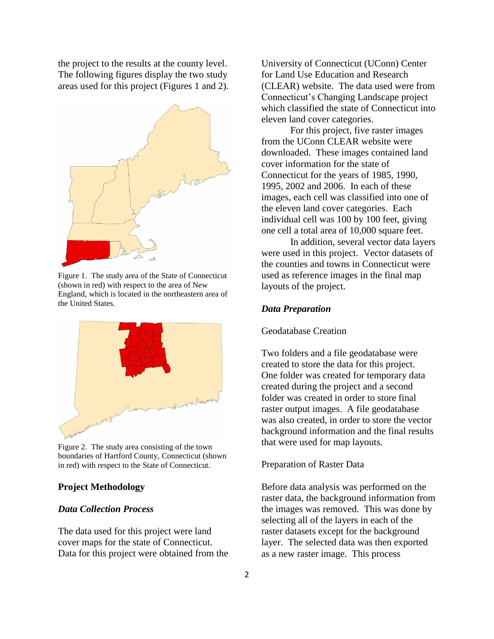the project to the results at the county level. The following figures display the two study areas used for this project (Figures 1 and 2).



Figure 1. The study area of the State of Connecticut (shown in red) with respect to the area of New England, which is located in the northeastern area of the United States.



Figure 2. The study area consisting of the town boundaries of Hartford County, Connecticut (shown in red) with respect to the State of Connecticut.

### **Project Methodology**

## *Data Collection Process*

The data used for this project were land cover maps for the state of Connecticut. Data for this project were obtained from the University of Connecticut (UConn) Center for Land Use Education and Research (CLEAR) website. The data used were from Connecticut's Changing Landscape project which classified the state of Connecticut into eleven land cover categories.

For this project, five raster images from the UConn CLEAR website were downloaded. These images contained land cover information for the state of Connecticut for the years of 1985, 1990, 1995, 2002 and 2006. In each of these images, each cell was classified into one of the eleven land cover categories. Each individual cell was 100 by 100 feet, giving one cell a total area of 10,000 square feet.

In addition, several vector data layers were used in this project. Vector datasets of the counties and towns in Connecticut were used as reference images in the final map layouts of the project.

#### *Data Preparation*

#### Geodatabase Creation

Two folders and a file geodatabase were created to store the data for this project. One folder was created for temporary data created during the project and a second folder was created in order to store final raster output images. A file geodatabase was also created, in order to store the vector background information and the final results that were used for map layouts.

#### Preparation of Raster Data

Before data analysis was performed on the raster data, the background information from the images was removed. This was done by selecting all of the layers in each of the raster datasets except for the background layer. The selected data was then exported as a new raster image. This process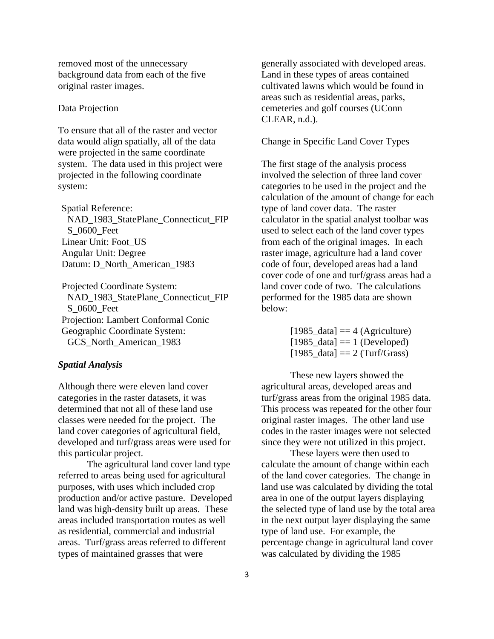removed most of the unnecessary background data from each of the five original raster images.

## Data Projection

To ensure that all of the raster and vector data would align spatially, all of the data were projected in the same coordinate system. The data used in this project were projected in the following coordinate system:

Spatial Reference: NAD\_1983\_StatePlane\_Connecticut\_FIP S\_0600\_Feet Linear Unit: Foot\_US Angular Unit: Degree Datum: D\_North\_American\_1983

Projected Coordinate System: NAD 1983 StatePlane Connecticut FIP S\_0600\_Feet Projection: Lambert Conformal Conic Geographic Coordinate System: GCS\_North\_American\_1983

# *Spatial Analysis*

Although there were eleven land cover categories in the raster datasets, it was determined that not all of these land use classes were needed for the project. The land cover categories of agricultural field, developed and turf/grass areas were used for this particular project.

The agricultural land cover land type referred to areas being used for agricultural purposes, with uses which included crop production and/or active pasture. Developed land was high-density built up areas. These areas included transportation routes as well as residential, commercial and industrial areas. Turf/grass areas referred to different types of maintained grasses that were

generally associated with developed areas. Land in these types of areas contained cultivated lawns which would be found in areas such as residential areas, parks, cemeteries and golf courses (UConn CLEAR, n.d.).

# Change in Specific Land Cover Types

The first stage of the analysis process involved the selection of three land cover categories to be used in the project and the calculation of the amount of change for each type of land cover data. The raster calculator in the spatial analyst toolbar was used to select each of the land cover types from each of the original images. In each raster image, agriculture had a land cover code of four, developed areas had a land cover code of one and turf/grass areas had a land cover code of two. The calculations performed for the 1985 data are shown below:

> $[1985_d \text{data}] = 4 \text{ (Agriculture)}$  $[1985\_data] == 1$  (Developed)  $[1985 \text{ data}] == 2 \text{ (Turf/Grass)}$

These new layers showed the agricultural areas, developed areas and turf/grass areas from the original 1985 data. This process was repeated for the other four original raster images. The other land use codes in the raster images were not selected since they were not utilized in this project.

These layers were then used to calculate the amount of change within each of the land cover categories. The change in land use was calculated by dividing the total area in one of the output layers displaying the selected type of land use by the total area in the next output layer displaying the same type of land use. For example, the percentage change in agricultural land cover was calculated by dividing the 1985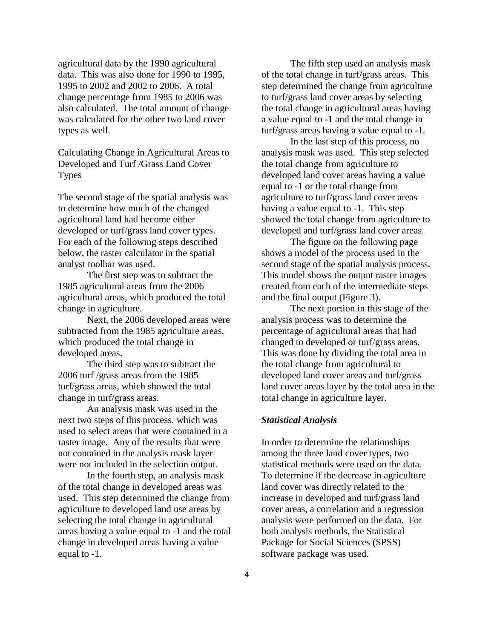agricultural data by the 1990 agricultural data. This was also done for 1990 to 1995, 1995 to 2002 and 2002 to 2006. A total change percentage from 1985 to 2006 was also calculated. The total amount of change was calculated for the other two land cover types as well.

Calculating Change in Agricultural Areas to Developed and Turf /Grass Land Cover Types

The second stage of the spatial analysis was to determine how much of the changed agricultural land had become either developed or turf/grass land cover types. For each of the following steps described below, the raster calculator in the spatial analyst toolbar was used.

The first step was to subtract the 1985 agricultural areas from the 2006 agricultural areas, which produced the total change in agriculture.

Next, the 2006 developed areas were subtracted from the 1985 agriculture areas, which produced the total change in developed areas.

The third step was to subtract the 2006 turf /grass areas from the 1985 turf/grass areas, which showed the total change in turf/grass areas.

An analysis mask was used in the next two steps of this process, which was used to select areas that were contained in a raster image. Any of the results that were not contained in the analysis mask layer were not included in the selection output.

In the fourth step, an analysis mask of the total change in developed areas was used. This step determined the change from agriculture to developed land use areas by selecting the total change in agricultural areas having a value equal to -1 and the total change in developed areas having a value equal to -1.

The fifth step used an analysis mask of the total change in turf/grass areas. This step determined the change from agriculture to turf/grass land cover areas by selecting the total change in agricultural areas having a value equal to -1 and the total change in turf/grass areas having a value equal to -1.

In the last step of this process, no analysis mask was used. This step selected the total change from agriculture to developed land cover areas having a value equal to -1 or the total change from agriculture to turf/grass land cover areas having a value equal to -1. This step showed the total change from agriculture to developed and turf/grass land cover areas.

The figure on the following page shows a model of the process used in the second stage of the spatial analysis process. This model shows the output raster images created from each of the intermediate steps and the final output (Figure 3).

The next portion in this stage of the analysis process was to determine the percentage of agricultural areas that had changed to developed or turf/grass areas. This was done by dividing the total area in the total change from agricultural to developed land cover areas and turf/grass land cover areas layer by the total area in the total change in agriculture layer.

#### *Statistical Analysis*

In order to determine the relationships among the three land cover types, two statistical methods were used on the data. To determine if the decrease in agriculture land cover was directly related to the increase in developed and turf/grass land cover areas, a correlation and a regression analysis were performed on the data. For both analysis methods, the Statistical Package for Social Sciences (SPSS) software package was used.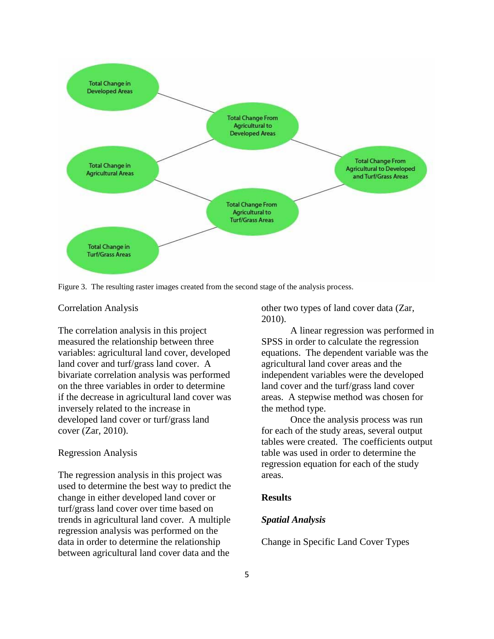

Figure 3. The resulting raster images created from the second stage of the analysis process.

## Correlation Analysis

The correlation analysis in this project measured the relationship between three variables: agricultural land cover, developed land cover and turf/grass land cover. A bivariate correlation analysis was performed on the three variables in order to determine if the decrease in agricultural land cover was inversely related to the increase in developed land cover or turf/grass land cover (Zar, 2010).

#### Regression Analysis

The regression analysis in this project was used to determine the best way to predict the change in either developed land cover or turf/grass land cover over time based on trends in agricultural land cover. A multiple regression analysis was performed on the data in order to determine the relationship between agricultural land cover data and the

other two types of land cover data (Zar, 2010).

A linear regression was performed in SPSS in order to calculate the regression equations. The dependent variable was the agricultural land cover areas and the independent variables were the developed land cover and the turf/grass land cover areas. A stepwise method was chosen for the method type.

Once the analysis process was run for each of the study areas, several output tables were created. The coefficients output table was used in order to determine the regression equation for each of the study areas.

# **Results**

### *Spatial Analysis*

Change in Specific Land Cover Types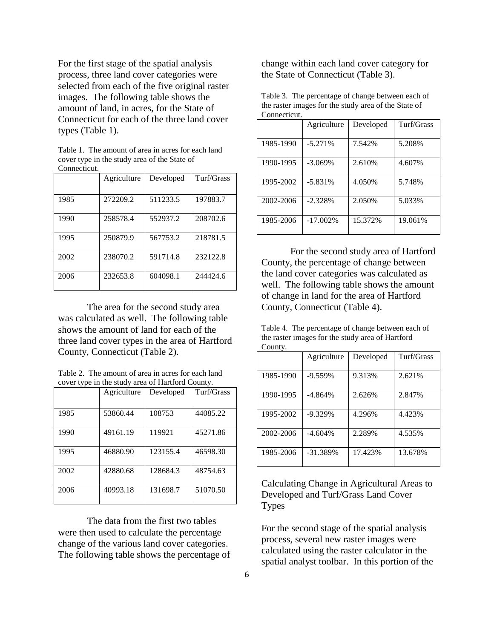For the first stage of the spatial analysis process, three land cover categories were selected from each of the five original raster images. The following table shows the amount of land, in acres, for the State of Connecticut for each of the three land cover types (Table 1).

Table 1. The amount of area in acres for each land cover type in the study area of the State of Connecticut.

|      | Agriculture | Developed | Turf/Grass |
|------|-------------|-----------|------------|
| 1985 | 272209.2    | 511233.5  | 197883.7   |
| 1990 | 258578.4    | 552937.2  | 208702.6   |
| 1995 | 250879.9    | 567753.2  | 218781.5   |
| 2002 | 238070.2    | 591714.8  | 232122.8   |
| 2006 | 232653.8    | 604098.1  | 244424.6   |

The area for the second study area was calculated as well. The following table shows the amount of land for each of the three land cover types in the area of Hartford County, Connecticut (Table 2).

| Table 2. The amount of area in acres for each land |
|----------------------------------------------------|
| cover type in the study area of Hartford County.   |

|      | Agriculture | Developed | Turf/Grass |
|------|-------------|-----------|------------|
| 1985 | 53860.44    | 108753    | 44085.22   |
| 1990 | 49161.19    | 119921    | 45271.86   |
| 1995 | 46880.90    | 123155.4  | 46598.30   |
| 2002 | 42880.68    | 128684.3  | 48754.63   |
| 2006 | 40993.18    | 131698.7  | 51070.50   |

The data from the first two tables were then used to calculate the percentage change of the various land cover categories. The following table shows the percentage of change within each land cover category for the State of Connecticut (Table 3).

| Table 3. The percentage of change between each of    |
|------------------------------------------------------|
| the raster images for the study area of the State of |
| Connecticut.                                         |

|           | Agriculture | Developed | Turf/Grass |
|-----------|-------------|-----------|------------|
| 1985-1990 | $-5.271%$   | 7.542%    | 5.208%     |
| 1990-1995 | $-3.069\%$  | 2.610\%   | 4.607%     |
| 1995-2002 | $-5.831\%$  | 4.050%    | 5.748%     |
| 2002-2006 | $-2.328%$   | 2.050%    | 5.033%     |
| 1985-2006 | $-17.002\%$ | 15.372%   | 19.061%    |

For the second study area of Hartford County, the percentage of change between the land cover categories was calculated as well. The following table shows the amount of change in land for the area of Hartford County, Connecticut (Table 4).

Table 4. The percentage of change between each of the raster images for the study area of Hartford County.

|           | Agriculture | Developed | Turf/Grass |
|-----------|-------------|-----------|------------|
|           |             |           |            |
| 1985-1990 | $-9.559%$   | 9.313%    | 2.621%     |
|           |             |           |            |
| 1990-1995 | $-4.864%$   | 2.626%    | 2.847%     |
|           |             |           |            |
| 1995-2002 | $-9.329%$   | 4.296%    | 4.423%     |
|           |             |           |            |
| 2002-2006 | $-4.604\%$  | 2.289%    | 4.535%     |
|           |             |           |            |
| 1985-2006 | $-31.389%$  | 17.423%   | 13.678%    |
|           |             |           |            |

Calculating Change in Agricultural Areas to Developed and Turf/Grass Land Cover Types

For the second stage of the spatial analysis process, several new raster images were calculated using the raster calculator in the spatial analyst toolbar. In this portion of the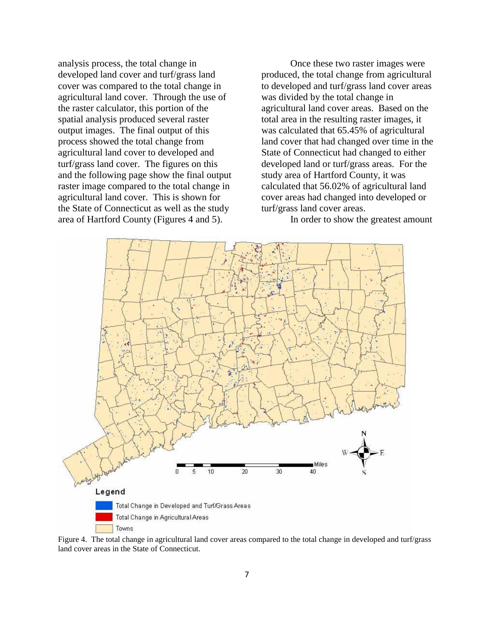analysis process, the total change in developed land cover and turf/grass land cover was compared to the total change in agricultural land cover. Through the use of the raster calculator, this portion of the spatial analysis produced several raster output images. The final output of this process showed the total change from agricultural land cover to developed and turf/grass land cover. The figures on this and the following page show the final output raster image compared to the total change in agricultural land cover. This is shown for the State of Connecticut as well as the study area of Hartford County (Figures 4 and 5).

Once these two raster images were produced, the total change from agricultural to developed and turf/grass land cover areas was divided by the total change in agricultural land cover areas. Based on the total area in the resulting raster images, it was calculated that 65.45% of agricultural land cover that had changed over time in the State of Connecticut had changed to either developed land or turf/grass areas. For the study area of Hartford County, it was calculated that 56.02% of agricultural land cover areas had changed into developed or turf/grass land cover areas.

In order to show the greatest amount



Figure 4. The total change in agricultural land cover areas compared to the total change in developed and turf/grass land cover areas in the State of Connecticut.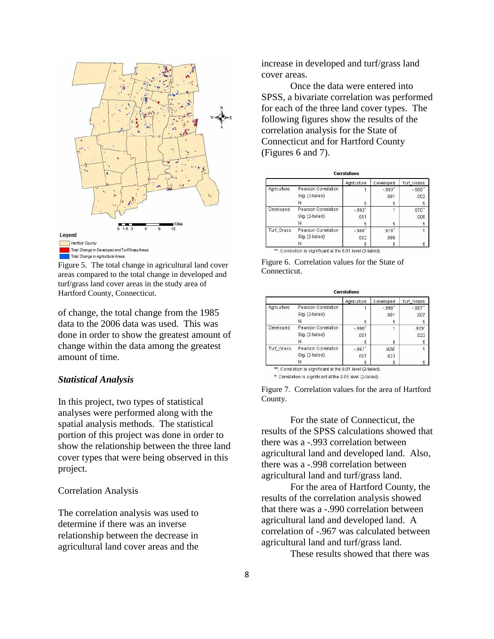

Figure 5. The total change in agricultural land cover areas compared to the total change in developed and turf/grass land cover areas in the study area of Hartford County, Connecticut.

of change, the total change from the 1985 data to the 2006 data was used. This was done in order to show the greatest amount of change within the data among the greatest amount of time.

#### *Statistical Analysis*

In this project, two types of statistical analyses were performed along with the spatial analysis methods. The statistical portion of this project was done in order to show the relationship between the three land cover types that were being observed in this project.

## Correlation Analysis

The correlation analysis was used to determine if there was an inverse relationship between the decrease in agricultural land cover areas and the increase in developed and turf/grass land cover areas.

Once the data were entered into SPSS, a bivariate correlation was performed for each of the three land cover types. The following figures show the results of the correlation analysis for the State of Connecticut and for Hartford County (Figures 6 and 7).

|             |                     | Agriculture | Developed | Turf Grass |
|-------------|---------------------|-------------|-----------|------------|
| Agriculture | Pearson Correlation |             | $-0.993$  | $-988"$    |
|             | Sig. (2-tailed)     |             | .001      | .002       |
|             | N                   | 5           | 5         | 5          |
| Developed   | Pearson Correlation | $-993"$     |           | .970"      |
|             | Sig. (2-tailed)     | .001        |           | .006       |
|             | Ν                   | 5           | 5         | 5          |
| Turf Grass  | Pearson Correlation | $-988"$     | .970"     |            |
|             | Sig. (2-tailed)     | .002        | .006      |            |
|             | Ν                   | 5           | 5         | 5          |

Figure 6. Correlation values for the State of Connecticut.

|             |                     | Agriculture | Developed | Turf Grass |
|-------------|---------------------|-------------|-----------|------------|
| Agriculture | Pearson Correlation |             | $-990"$   | $-967"$    |
|             | Sig. (2-tailed)     |             | .001      | .007       |
|             | N                   | 5           | 5         | 5          |
| Developed   | Pearson Correlation | $-990"$     |           | .929'      |
|             | Sig. (2-tailed)     | .001        |           | .023       |
|             | N                   | 5           | 5         | 5          |
| Turf Grass  | Pearson Correlation | $-967$      | .929      |            |
|             | Sig. (2-tailed)     | .007        | .023      |            |
|             | Ν                   | 5           | 5         | 5          |

\*. Correlation is significant at the 0.05 level (2-tailed).

Figure 7. Correlation values for the area of Hartford County.

For the state of Connecticut, the results of the SPSS calculations showed that there was a -.993 correlation between agricultural land and developed land. Also, there was a -.998 correlation between agricultural land and turf/grass land.

For the area of Hartford County, the results of the correlation analysis showed that there was a -.990 correlation between agricultural land and developed land. A correlation of -.967 was calculated between agricultural land and turf/grass land.

These results showed that there was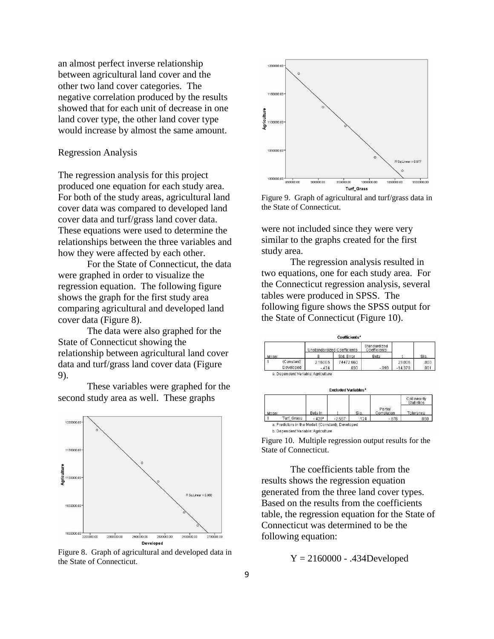an almost perfect inverse relationship between agricultural land cover and the other two land cover categories. The negative correlation produced by the results showed that for each unit of decrease in one land cover type, the other land cover type would increase by almost the same amount.

### Regression Analysis

The regression analysis for this project produced one equation for each study area. For both of the study areas, agricultural land cover data was compared to developed land cover data and turf/grass land cover data. These equations were used to determine the relationships between the three variables and how they were affected by each other.

For the State of Connecticut, the data were graphed in order to visualize the regression equation. The following figure shows the graph for the first study area comparing agricultural and developed land cover data (Figure 8).

The data were also graphed for the State of Connecticut showing the relationship between agricultural land cover data and turf/grass land cover data (Figure 9).

These variables were graphed for the second study area as well. These graphs



Figure 8. Graph of agricultural and developed data in the State of Connecticut.



Figure 9. Graph of agricultural and turf/grass data in the State of Connecticut.

were not included since they were very similar to the graphs created for the first study area.

The regression analysis resulted in two equations, one for each study area. For the Connecticut regression analysis, several tables were produced in SPSS. The following figure shows the SPSS output for the State of Connecticut (Figure 10).



Figure 10. Multiple regression output results for the State of Connecticut.

The coefficients table from the results shows the regression equation generated from the three land cover types. Based on the results from the coefficients table, the regression equation for the State of Connecticut was determined to be the following equation:

 $Y = 2160000 - .434$ Developed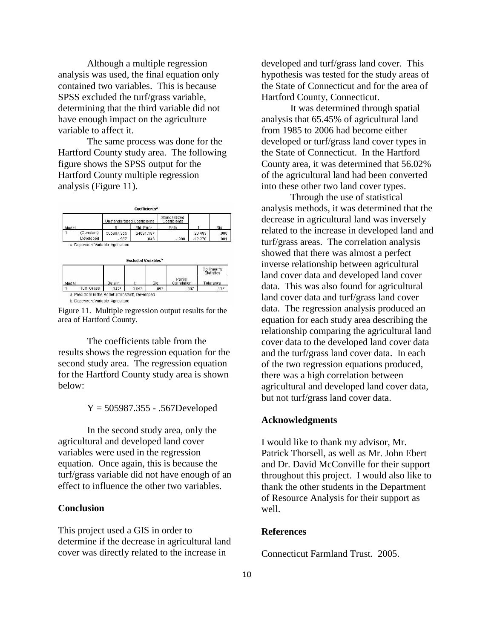Although a multiple regression analysis was used, the final equation only contained two variables. This is because SPSS excluded the turf/grass variable, determining that the third variable did not have enough impact on the agriculture variable to affect it.

The same process was done for the Hartford County study area. The following figure shows the SPSS output for the Hartford County multiple regression analysis (Figure 11).





Figure 11. Multiple regression output results for the area of Hartford County.

The coefficients table from the results shows the regression equation for the second study area. The regression equation for the Hartford County study area is shown below:

 $Y = 505987.355 - .567$ Developed

In the second study area, only the agricultural and developed land cover variables were used in the regression equation. Once again, this is because the turf/grass variable did not have enough of an effect to influence the other two variables.

## **Conclusion**

This project used a GIS in order to determine if the decrease in agricultural land cover was directly related to the increase in

developed and turf/grass land cover. This hypothesis was tested for the study areas of the State of Connecticut and for the area of Hartford County, Connecticut.

It was determined through spatial analysis that 65.45% of agricultural land from 1985 to 2006 had become either developed or turf/grass land cover types in the State of Connecticut. In the Hartford County area, it was determined that 56.02% of the agricultural land had been converted into these other two land cover types.

Through the use of statistical analysis methods, it was determined that the decrease in agricultural land was inversely related to the increase in developed land and turf/grass areas. The correlation analysis showed that there was almost a perfect inverse relationship between agricultural land cover data and developed land cover data. This was also found for agricultural land cover data and turf/grass land cover data. The regression analysis produced an equation for each study area describing the relationship comparing the agricultural land cover data to the developed land cover data and the turf/grass land cover data. In each of the two regression equations produced, there was a high correlation between agricultural and developed land cover data, but not turf/grass land cover data.

#### **Acknowledgments**

I would like to thank my advisor, Mr. Patrick Thorsell, as well as Mr. John Ebert and Dr. David McConville for their support throughout this project. I would also like to thank the other students in the Department of Resource Analysis for their support as well.

### **References**

Connecticut Farmland Trust. 2005.